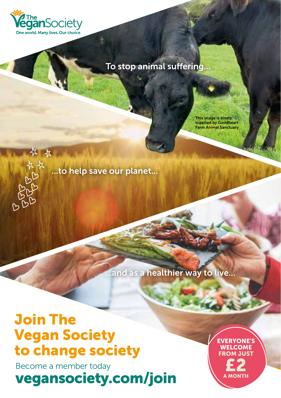

长 长 长

### To stop animal suffering...

This image is kindly supplied by Goodheart Farm Animal Sanctuary

...to help save our planet...

...and as a healthier way to live...

# Join The Vegan Society to change society

Become a member today vegansociety.com/join EVERYONE'S WELCOME FROM JUST £2 A MONTH